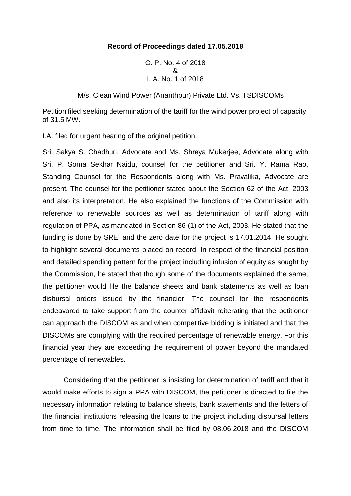# **Record of Proceedings dated 17.05.2018**

O. P. No. 4 of 2018 & I. A. No. 1 of 2018

M/s. Clean Wind Power (Ananthpur) Private Ltd. Vs. TSDISCOMs

Petition filed seeking determination of the tariff for the wind power project of capacity of 31.5 MW.

I.A. filed for urgent hearing of the original petition.

Sri. Sakya S. Chadhuri, Advocate and Ms. Shreya Mukerjee, Advocate along with Sri. P. Soma Sekhar Naidu, counsel for the petitioner and Sri. Y. Rama Rao, Standing Counsel for the Respondents along with Ms. Pravalika, Advocate are present. The counsel for the petitioner stated about the Section 62 of the Act, 2003 and also its interpretation. He also explained the functions of the Commission with reference to renewable sources as well as determination of tariff along with regulation of PPA, as mandated in Section 86 (1) of the Act, 2003. He stated that the funding is done by SREI and the zero date for the project is 17.01.2014. He sought to highlight several documents placed on record. In respect of the financial position and detailed spending pattern for the project including infusion of equity as sought by the Commission, he stated that though some of the documents explained the same, the petitioner would file the balance sheets and bank statements as well as loan disbursal orders issued by the financier. The counsel for the respondents endeavored to take support from the counter affidavit reiterating that the petitioner can approach the DISCOM as and when competitive bidding is initiated and that the DISCOMs are complying with the required percentage of renewable energy. For this financial year they are exceeding the requirement of power beyond the mandated percentage of renewables.

Considering that the petitioner is insisting for determination of tariff and that it would make efforts to sign a PPA with DISCOM, the petitioner is directed to file the necessary information relating to balance sheets, bank statements and the letters of the financial institutions releasing the loans to the project including disbursal letters from time to time. The information shall be filed by 08.06.2018 and the DISCOM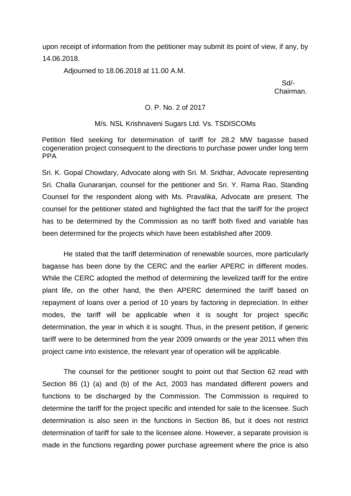upon receipt of information from the petitioner may submit its point of view, if any, by 14.06.2018.

Adjourned to 18.06.2018 at 11.00 A.M.

 Sd/- Chairman.

### O. P. No. 2 of 2017

### M/s. NSL Krishnaveni Sugars Ltd. Vs. TSDISCOMs

Petition filed seeking for determination of tariff for 28.2 MW bagasse based cogeneration project consequent to the directions to purchase power under long term PPA

Sri. K. Gopal Chowdary, Advocate along with Sri. M. Sridhar, Advocate representing Sri. Challa Gunaranjan, counsel for the petitioner and Sri. Y. Rama Rao, Standing Counsel for the respondent along with Ms. Pravalika, Advocate are present. The counsel for the petitioner stated and highlighted the fact that the tariff for the project has to be determined by the Commission as no tariff both fixed and variable has been determined for the projects which have been established after 2009.

He stated that the tariff determination of renewable sources, more particularly bagasse has been done by the CERC and the earlier APERC in different modes. While the CERC adopted the method of determining the levelized tariff for the entire plant life, on the other hand, the then APERC determined the tariff based on repayment of loans over a period of 10 years by factoring in depreciation. In either modes, the tariff will be applicable when it is sought for project specific determination, the year in which it is sought. Thus, in the present petition, if generic tariff were to be determined from the year 2009 onwards or the year 2011 when this project came into existence, the relevant year of operation will be applicable.

The counsel for the petitioner sought to point out that Section 62 read with Section 86 (1) (a) and (b) of the Act, 2003 has mandated different powers and functions to be discharged by the Commission. The Commission is required to determine the tariff for the project specific and intended for sale to the licensee. Such determination is also seen in the functions in Section 86, but it does not restrict determination of tariff for sale to the licensee alone. However, a separate provision is made in the functions regarding power purchase agreement where the price is also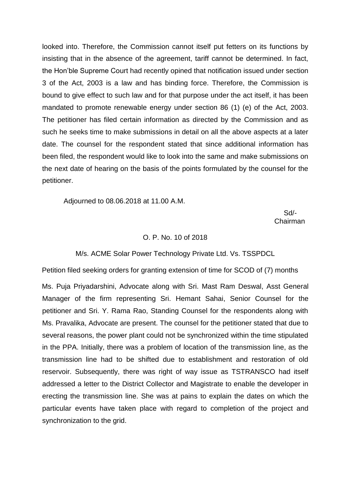looked into. Therefore, the Commission cannot itself put fetters on its functions by insisting that in the absence of the agreement, tariff cannot be determined. In fact, the Hon'ble Supreme Court had recently opined that notification issued under section 3 of the Act, 2003 is a law and has binding force. Therefore, the Commission is bound to give effect to such law and for that purpose under the act itself, it has been mandated to promote renewable energy under section 86 (1) (e) of the Act, 2003. The petitioner has filed certain information as directed by the Commission and as such he seeks time to make submissions in detail on all the above aspects at a later date. The counsel for the respondent stated that since additional information has been filed, the respondent would like to look into the same and make submissions on the next date of hearing on the basis of the points formulated by the counsel for the petitioner.

Adjourned to 08.06.2018 at 11.00 A.M.

 Sd/ in the contract of the contract of the contract of the contract of the contract of the contract of the contract of the contract of the contract of the contract of the contract of the contract of the contract of the contrac

### O. P. No. 10 of 2018

#### M/s. ACME Solar Power Technology Private Ltd. Vs. TSSPDCL

Petition filed seeking orders for granting extension of time for SCOD of (7) months

Ms. Puja Priyadarshini, Advocate along with Sri. Mast Ram Deswal, Asst General Manager of the firm representing Sri. Hemant Sahai, Senior Counsel for the petitioner and Sri. Y. Rama Rao, Standing Counsel for the respondents along with Ms. Pravalika, Advocate are present. The counsel for the petitioner stated that due to several reasons, the power plant could not be synchronized within the time stipulated in the PPA. Initially, there was a problem of location of the transmission line, as the transmission line had to be shifted due to establishment and restoration of old reservoir. Subsequently, there was right of way issue as TSTRANSCO had itself addressed a letter to the District Collector and Magistrate to enable the developer in erecting the transmission line. She was at pains to explain the dates on which the particular events have taken place with regard to completion of the project and synchronization to the grid.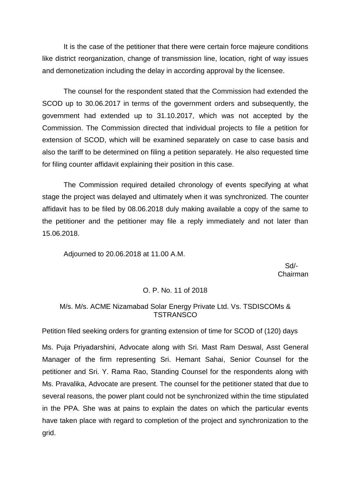The counsel for the respondent stated that the Commission had extended the SCOD up to 30.06.2017 in terms of the government orders and subsequently, the government had extended up to 31.10.2017, which was not accepted by the Commission. The Commission directed that individual projects to file a petition for extension of SCOD, which will be examined separately on case to case basis and also the tariff to be determined on filing a petition separately. He also requested time for filing counter affidavit explaining their position in this case.

The Commission required detailed chronology of events specifying at what stage the project was delayed and ultimately when it was synchronized. The counter affidavit has to be filed by 08.06.2018 duly making available a copy of the same to the petitioner and the petitioner may file a reply immediately and not later than 15.06.2018.

Adjourned to 20.06.2018 at 11.00 A.M.

 Sd/- Chairman

# O. P. No. 11 of 2018

## M/s. M/s. ACME Nizamabad Solar Energy Private Ltd. Vs. TSDISCOMs & **TSTRANSCO**

Petition filed seeking orders for granting extension of time for SCOD of (120) days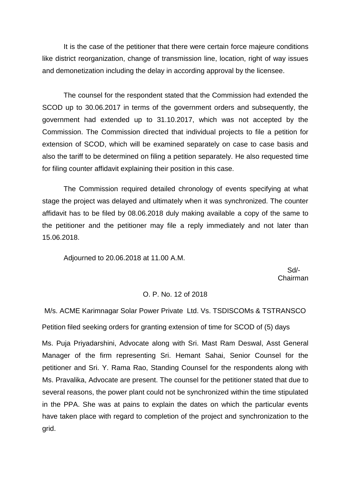The counsel for the respondent stated that the Commission had extended the SCOD up to 30.06.2017 in terms of the government orders and subsequently, the government had extended up to 31.10.2017, which was not accepted by the Commission. The Commission directed that individual projects to file a petition for extension of SCOD, which will be examined separately on case to case basis and also the tariff to be determined on filing a petition separately. He also requested time for filing counter affidavit explaining their position in this case.

The Commission required detailed chronology of events specifying at what stage the project was delayed and ultimately when it was synchronized. The counter affidavit has to be filed by 08.06.2018 duly making available a copy of the same to the petitioner and the petitioner may file a reply immediately and not later than 15.06.2018.

Adjourned to 20.06.2018 at 11.00 A.M.

 Sd/- Chairman

### O. P. No. 12 of 2018

M/s. ACME Karimnagar Solar Power Private Ltd. Vs. TSDISCOMs & TSTRANSCO

Petition filed seeking orders for granting extension of time for SCOD of (5) days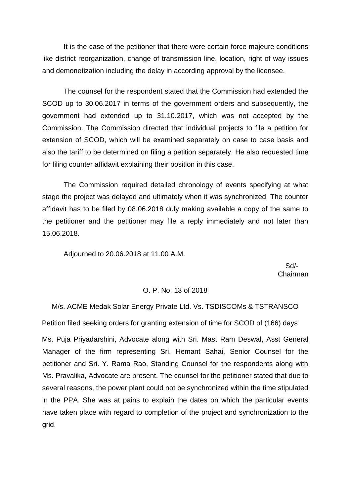The counsel for the respondent stated that the Commission had extended the SCOD up to 30.06.2017 in terms of the government orders and subsequently, the government had extended up to 31.10.2017, which was not accepted by the Commission. The Commission directed that individual projects to file a petition for extension of SCOD, which will be examined separately on case to case basis and also the tariff to be determined on filing a petition separately. He also requested time for filing counter affidavit explaining their position in this case.

The Commission required detailed chronology of events specifying at what stage the project was delayed and ultimately when it was synchronized. The counter affidavit has to be filed by 08.06.2018 duly making available a copy of the same to the petitioner and the petitioner may file a reply immediately and not later than 15.06.2018.

Adjourned to 20.06.2018 at 11.00 A.M.

 Sd/- Chairman

## O. P. No. 13 of 2018

M/s. ACME Medak Solar Energy Private Ltd. Vs. TSDISCOMs & TSTRANSCO

Petition filed seeking orders for granting extension of time for SCOD of (166) days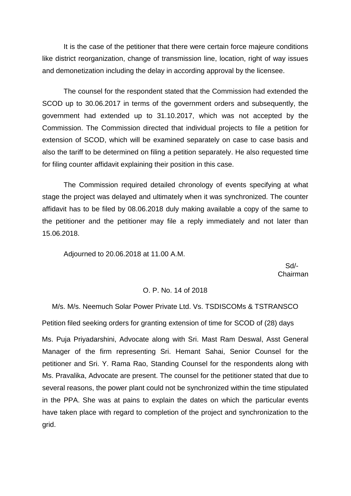The counsel for the respondent stated that the Commission had extended the SCOD up to 30.06.2017 in terms of the government orders and subsequently, the government had extended up to 31.10.2017, which was not accepted by the Commission. The Commission directed that individual projects to file a petition for extension of SCOD, which will be examined separately on case to case basis and also the tariff to be determined on filing a petition separately. He also requested time for filing counter affidavit explaining their position in this case.

The Commission required detailed chronology of events specifying at what stage the project was delayed and ultimately when it was synchronized. The counter affidavit has to be filed by 08.06.2018 duly making available a copy of the same to the petitioner and the petitioner may file a reply immediately and not later than 15.06.2018.

Adjourned to 20.06.2018 at 11.00 A.M.

 Sd/- Chairman

## O. P. No. 14 of 2018

M/s. M/s. Neemuch Solar Power Private Ltd. Vs. TSDISCOMs & TSTRANSCO

Petition filed seeking orders for granting extension of time for SCOD of (28) days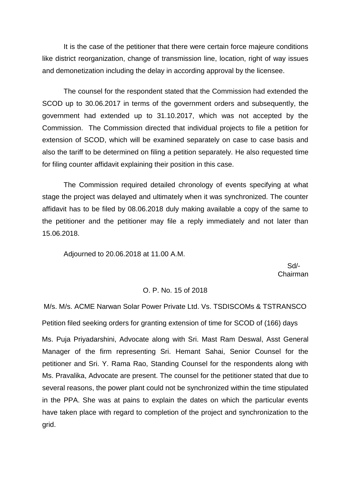The counsel for the respondent stated that the Commission had extended the SCOD up to 30.06.2017 in terms of the government orders and subsequently, the government had extended up to 31.10.2017, which was not accepted by the Commission. The Commission directed that individual projects to file a petition for extension of SCOD, which will be examined separately on case to case basis and also the tariff to be determined on filing a petition separately. He also requested time for filing counter affidavit explaining their position in this case.

The Commission required detailed chronology of events specifying at what stage the project was delayed and ultimately when it was synchronized. The counter affidavit has to be filed by 08.06.2018 duly making available a copy of the same to the petitioner and the petitioner may file a reply immediately and not later than 15.06.2018.

Adjourned to 20.06.2018 at 11.00 A.M.

 Sd/- Chairman

## O. P. No. 15 of 2018

M/s. M/s. ACME Narwan Solar Power Private Ltd. Vs. TSDISCOMs & TSTRANSCO Petition filed seeking orders for granting extension of time for SCOD of (166) days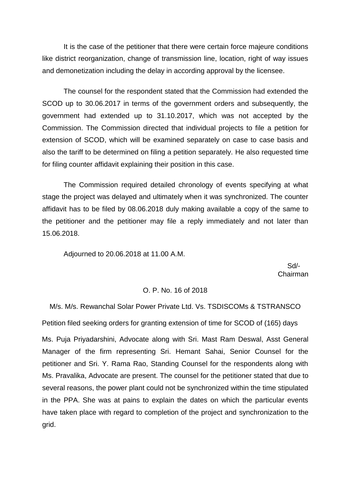The counsel for the respondent stated that the Commission had extended the SCOD up to 30.06.2017 in terms of the government orders and subsequently, the government had extended up to 31.10.2017, which was not accepted by the Commission. The Commission directed that individual projects to file a petition for extension of SCOD, which will be examined separately on case to case basis and also the tariff to be determined on filing a petition separately. He also requested time for filing counter affidavit explaining their position in this case.

The Commission required detailed chronology of events specifying at what stage the project was delayed and ultimately when it was synchronized. The counter affidavit has to be filed by 08.06.2018 duly making available a copy of the same to the petitioner and the petitioner may file a reply immediately and not later than 15.06.2018.

Adjourned to 20.06.2018 at 11.00 A.M.

 Sd/- Chairman

## O. P. No. 16 of 2018

M/s. M/s. Rewanchal Solar Power Private Ltd. Vs. TSDISCOMs & TSTRANSCO

Petition filed seeking orders for granting extension of time for SCOD of (165) days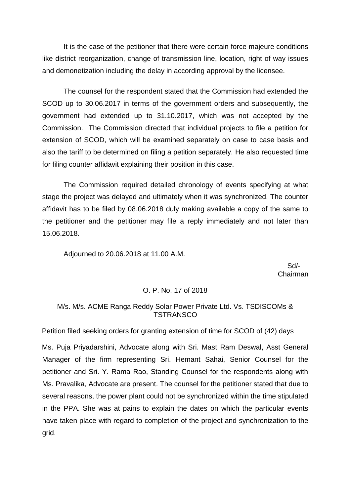The counsel for the respondent stated that the Commission had extended the SCOD up to 30.06.2017 in terms of the government orders and subsequently, the government had extended up to 31.10.2017, which was not accepted by the Commission. The Commission directed that individual projects to file a petition for extension of SCOD, which will be examined separately on case to case basis and also the tariff to be determined on filing a petition separately. He also requested time for filing counter affidavit explaining their position in this case.

The Commission required detailed chronology of events specifying at what stage the project was delayed and ultimately when it was synchronized. The counter affidavit has to be filed by 08.06.2018 duly making available a copy of the same to the petitioner and the petitioner may file a reply immediately and not later than 15.06.2018.

Adjourned to 20.06.2018 at 11.00 A.M.

 Sd/- Chairman

# O. P. No. 17 of 2018

# M/s. M/s. ACME Ranga Reddy Solar Power Private Ltd. Vs. TSDISCOMs & **TSTRANSCO**

Petition filed seeking orders for granting extension of time for SCOD of (42) days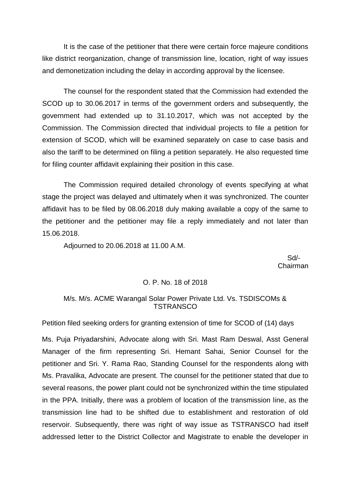The counsel for the respondent stated that the Commission had extended the SCOD up to 30.06.2017 in terms of the government orders and subsequently, the government had extended up to 31.10.2017, which was not accepted by the Commission. The Commission directed that individual projects to file a petition for extension of SCOD, which will be examined separately on case to case basis and also the tariff to be determined on filing a petition separately. He also requested time for filing counter affidavit explaining their position in this case.

The Commission required detailed chronology of events specifying at what stage the project was delayed and ultimately when it was synchronized. The counter affidavit has to be filed by 08.06.2018 duly making available a copy of the same to the petitioner and the petitioner may file a reply immediately and not later than 15.06.2018.

Adjourned to 20.06.2018 at 11.00 A.M.

 Sd/- Chairman

### O. P. No. 18 of 2018

# M/s. M/s. ACME Warangal Solar Power Private Ltd. Vs. TSDISCOMs & **TSTRANSCO**

Petition filed seeking orders for granting extension of time for SCOD of (14) days

Ms. Puja Priyadarshini, Advocate along with Sri. Mast Ram Deswal, Asst General Manager of the firm representing Sri. Hemant Sahai, Senior Counsel for the petitioner and Sri. Y. Rama Rao, Standing Counsel for the respondents along with Ms. Pravalika, Advocate are present. The counsel for the petitioner stated that due to several reasons, the power plant could not be synchronized within the time stipulated in the PPA. Initially, there was a problem of location of the transmission line, as the transmission line had to be shifted due to establishment and restoration of old reservoir. Subsequently, there was right of way issue as TSTRANSCO had itself addressed letter to the District Collector and Magistrate to enable the developer in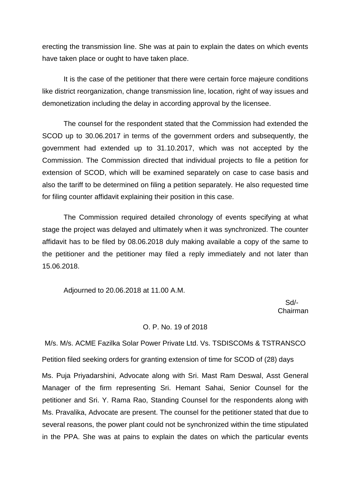erecting the transmission line. She was at pain to explain the dates on which events have taken place or ought to have taken place.

It is the case of the petitioner that there were certain force majeure conditions like district reorganization, change transmission line, location, right of way issues and demonetization including the delay in according approval by the licensee.

The counsel for the respondent stated that the Commission had extended the SCOD up to 30.06.2017 in terms of the government orders and subsequently, the government had extended up to 31.10.2017, which was not accepted by the Commission. The Commission directed that individual projects to file a petition for extension of SCOD, which will be examined separately on case to case basis and also the tariff to be determined on filing a petition separately. He also requested time for filing counter affidavit explaining their position in this case.

The Commission required detailed chronology of events specifying at what stage the project was delayed and ultimately when it was synchronized. The counter affidavit has to be filed by 08.06.2018 duly making available a copy of the same to the petitioner and the petitioner may filed a reply immediately and not later than 15.06.2018.

Adjourned to 20.06.2018 at 11.00 A.M.

 Sd/- Chairman

#### O. P. No. 19 of 2018

M/s. M/s. ACME Fazilka Solar Power Private Ltd. Vs. TSDISCOMs & TSTRANSCO Petition filed seeking orders for granting extension of time for SCOD of (28) days Ms. Puja Priyadarshini, Advocate along with Sri. Mast Ram Deswal, Asst General Manager of the firm representing Sri. Hemant Sahai, Senior Counsel for the petitioner and Sri. Y. Rama Rao, Standing Counsel for the respondents along with Ms. Pravalika, Advocate are present. The counsel for the petitioner stated that due to several reasons, the power plant could not be synchronized within the time stipulated in the PPA. She was at pains to explain the dates on which the particular events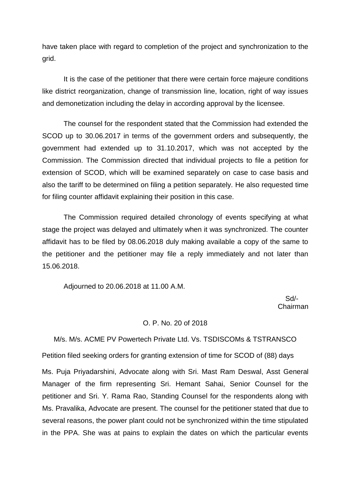have taken place with regard to completion of the project and synchronization to the grid.

It is the case of the petitioner that there were certain force majeure conditions like district reorganization, change of transmission line, location, right of way issues and demonetization including the delay in according approval by the licensee.

The counsel for the respondent stated that the Commission had extended the SCOD up to 30.06.2017 in terms of the government orders and subsequently, the government had extended up to 31.10.2017, which was not accepted by the Commission. The Commission directed that individual projects to file a petition for extension of SCOD, which will be examined separately on case to case basis and also the tariff to be determined on filing a petition separately. He also requested time for filing counter affidavit explaining their position in this case.

The Commission required detailed chronology of events specifying at what stage the project was delayed and ultimately when it was synchronized. The counter affidavit has to be filed by 08.06.2018 duly making available a copy of the same to the petitioner and the petitioner may file a reply immediately and not later than 15.06.2018.

Adjourned to 20.06.2018 at 11.00 A.M.

 Sd/- Chairman

### O. P. No. 20 of 2018

M/s. M/s. ACME PV Powertech Private Ltd. Vs. TSDISCOMs & TSTRANSCO

Petition filed seeking orders for granting extension of time for SCOD of (88) days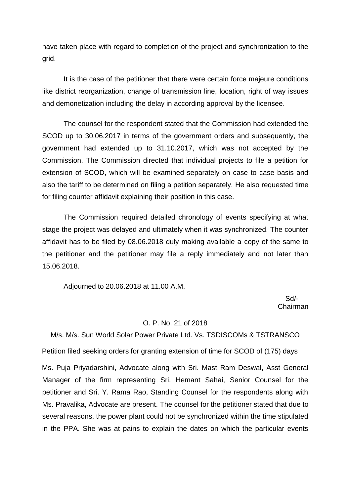have taken place with regard to completion of the project and synchronization to the grid.

It is the case of the petitioner that there were certain force majeure conditions like district reorganization, change of transmission line, location, right of way issues and demonetization including the delay in according approval by the licensee.

The counsel for the respondent stated that the Commission had extended the SCOD up to 30.06.2017 in terms of the government orders and subsequently, the government had extended up to 31.10.2017, which was not accepted by the Commission. The Commission directed that individual projects to file a petition for extension of SCOD, which will be examined separately on case to case basis and also the tariff to be determined on filing a petition separately. He also requested time for filing counter affidavit explaining their position in this case.

The Commission required detailed chronology of events specifying at what stage the project was delayed and ultimately when it was synchronized. The counter affidavit has to be filed by 08.06.2018 duly making available a copy of the same to the petitioner and the petitioner may file a reply immediately and not later than 15.06.2018.

Adjourned to 20.06.2018 at 11.00 A.M.

 Sd/- Chairman

### O. P. No. 21 of 2018

M/s. M/s. Sun World Solar Power Private Ltd. Vs. TSDISCOMs & TSTRANSCO

Petition filed seeking orders for granting extension of time for SCOD of (175) days Ms. Puja Priyadarshini, Advocate along with Sri. Mast Ram Deswal, Asst General Manager of the firm representing Sri. Hemant Sahai, Senior Counsel for the petitioner and Sri. Y. Rama Rao, Standing Counsel for the respondents along with Ms. Pravalika, Advocate are present. The counsel for the petitioner stated that due to several reasons, the power plant could not be synchronized within the time stipulated in the PPA. She was at pains to explain the dates on which the particular events